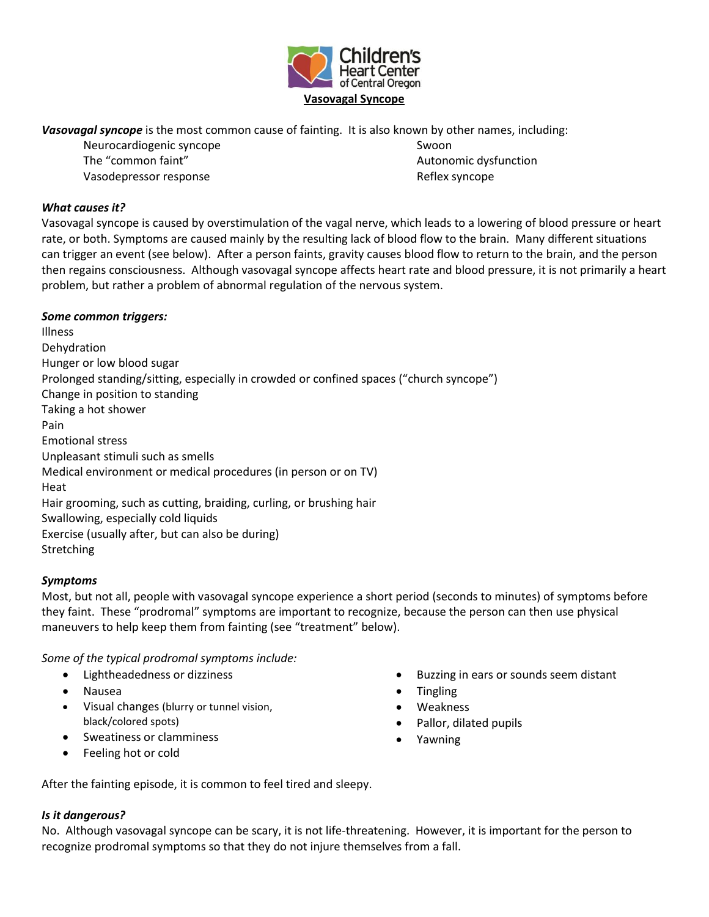

*Vasovagal syncope* is the most common cause of fainting. It is also known by other names, including:

Neurocardiogenic syncope The "common faint" Vasodepressor response

Swoon Autonomic dysfunction Reflex syncope

# *What causes it?*

Vasovagal syncope is caused by overstimulation of the vagal nerve, which leads to a lowering of blood pressure or heart rate, or both. Symptoms are caused mainly by the resulting lack of blood flow to the brain. Many different situations can trigger an event (see below). After a person faints, gravity causes blood flow to return to the brain, and the person then regains consciousness. Although vasovagal syncope affects heart rate and blood pressure, it is not primarily a heart problem, but rather a problem of abnormal regulation of the nervous system.

## *Some common triggers:*

Illness Dehydration Hunger or low blood sugar Prolonged standing/sitting, especially in crowded or confined spaces ("church syncope") Change in position to standing Taking a hot shower Pain Emotional stress Unpleasant stimuli such as smells Medical environment or medical procedures (in person or on TV) Heat Hair grooming, such as cutting, braiding, curling, or brushing hair Swallowing, especially cold liquids Exercise (usually after, but can also be during) **Stretching** 

## *Symptoms*

Most, but not all, people with vasovagal syncope experience a short period (seconds to minutes) of symptoms before they faint. These "prodromal" symptoms are important to recognize, because the person can then use physical maneuvers to help keep them from fainting (see "treatment" below).

*Some of the typical prodromal symptoms include:*

- Lightheadedness or dizziness
- Nausea
- Visual changes (blurry or tunnel vision, black/colored spots)
- Sweatiness or clamminess
- Feeling hot or cold
- Buzzing in ears or sounds seem distant
- **Tingling**
- Weakness
- Pallor, dilated pupils
- Yawning

After the fainting episode, it is common to feel tired and sleepy.

## *Is it dangerous?*

No. Although vasovagal syncope can be scary, it is not life-threatening. However, it is important for the person to recognize prodromal symptoms so that they do not injure themselves from a fall.